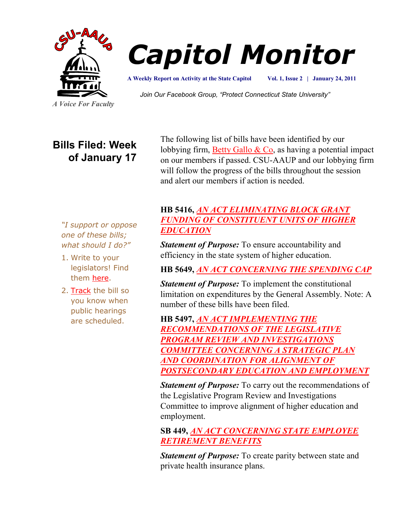



**Vol. 1, Issue 2 | January 24, 2011 A Weekly Report on Activity at the State Capitol**

*Join Our Facebook Group, "Protect Connecticut State University"*

*A Voice For Faculty*

# **Bills Filed: Week of January 17**

The following list of bills have been identified by our lobbying firm, Betty Gallo  $& Co$ , as having a potential impact on our members if passed. CSU-AAUP and our lobbying firm will follow the progress of the bills throughout the session and alert our members if action is needed.

*"I support or oppose one of these bills; what should I do?"*

- 1. Write to your legislators! Find them [here.](http://www.congressweb.com/cweb4/index.cfm?orgcode=BGAUP)
- 2. [Track](http://www.cga.ct.gov/aspx/CGAPublicBillTrack/Register.aspx) the bill so you know when public hearings are scheduled.

## **HB 5416,** *[AN ACT ELIMINATING BLOCK GRANT](http://www.cga.ct.gov/2011/TOB/H/2011HB-05416-R00-HB.htm)  [FUNDING OF CONSTITUENT UNITS OF HIGHER](http://www.cga.ct.gov/2011/TOB/H/2011HB-05416-R00-HB.htm)  [EDUCATION](http://www.cga.ct.gov/2011/TOB/H/2011HB-05416-R00-HB.htm)*

*Statement of Purpose:* To ensure accountability and efficiency in the state system of higher education.

## **HB 5649,** *[AN ACT CONCERNING THE SPENDING CAP](http://www.cga.ct.gov/2011/TOB/H/2011HB-05649-R00-HB.htm)*

*Statement of Purpose:* To implement the constitutional limitation on expenditures by the General Assembly. Note: A number of these bills have been filed.

**HB 5497,** *[AN ACT IMPLEMENTING THE](http://www.cga.ct.gov/2011/TOB/H/2011HB-05497-R00-HB.htm)  [RECOMMENDATIONS OF THE LEGISLATIVE](http://www.cga.ct.gov/2011/TOB/H/2011HB-05497-R00-HB.htm)  [PROGRAM REVIEW AND INVESTIGATIONS](http://www.cga.ct.gov/2011/TOB/H/2011HB-05497-R00-HB.htm)  [COMMITTEE CONCERNING A STRATEGIC PLAN](http://www.cga.ct.gov/2011/TOB/H/2011HB-05497-R00-HB.htm)  [AND COORDINATION FOR ALIGNMENT OF](http://www.cga.ct.gov/2011/TOB/H/2011HB-05497-R00-HB.htm)  [POSTSECONDARY EDUCATION AND EMPLOYMENT](http://www.cga.ct.gov/2011/TOB/H/2011HB-05497-R00-HB.htm)*

*Statement of Purpose:* To carry out the recommendations of the Legislative Program Review and Investigations Committee to improve alignment of higher education and employment.

## **SB 449,** *[AN ACT CONCERNING STATE EMPLOYEE](http://www.cga.ct.gov/2011/TOB/S/2011SB-00449-R00-SB.htm)  [RETIREMENT BENEFITS](http://www.cga.ct.gov/2011/TOB/S/2011SB-00449-R00-SB.htm)*

*Statement of Purpose:* To create parity between state and private health insurance plans.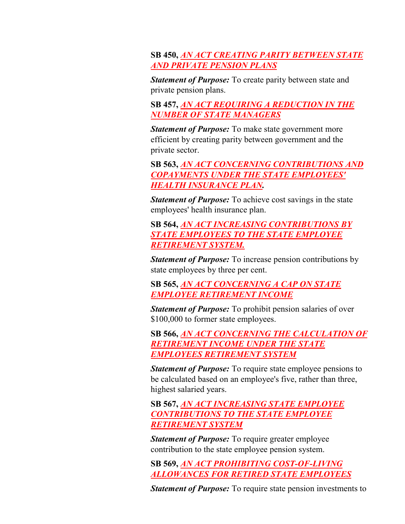#### **SB 450,** *[AN ACT CREATING PARITY BETWEEN STATE](http://www.cga.ct.gov/2011/TOB/S/2011SB-00450-R00-SB.htm)  [AND PRIVATE PENSION PLANS](http://www.cga.ct.gov/2011/TOB/S/2011SB-00450-R00-SB.htm)*

*Statement of Purpose:* To create parity between state and private pension plans.

**SB 457,** *[AN ACT REQUIRING A REDUCTION IN THE](http://www.cga.ct.gov/2011/TOB/S/2011SB-00457-R00-SB.htm)  [NUMBER OF STATE MANAGERS](http://www.cga.ct.gov/2011/TOB/S/2011SB-00457-R00-SB.htm)*

*Statement of Purpose:* To make state government more efficient by creating parity between government and the private sector.

**SB 563,** *[AN ACT CONCERNING CONTRIBUTIONS AND](http://www.cga.ct.gov/2011/TOB/S/2011SB-00563-R00-SB.htm)  [COPAYMENTS UNDER THE STATE EMPLOYEES'](http://www.cga.ct.gov/2011/TOB/S/2011SB-00563-R00-SB.htm)  [HEALTH INSURANCE PLAN.](http://www.cga.ct.gov/2011/TOB/S/2011SB-00563-R00-SB.htm)*

*Statement of Purpose:* To achieve cost savings in the state employees' health insurance plan.

## **SB 564,** *[AN ACT INCREASING CONTRIBUTIONS BY](http://www.cga.ct.gov/2011/TOB/S/2011SB-00564-R00-SB.htm)  [STATE EMPLOYEES TO THE STATE EMPLOYEE](http://www.cga.ct.gov/2011/TOB/S/2011SB-00564-R00-SB.htm)  [RETIREMENT SYSTEM.](http://www.cga.ct.gov/2011/TOB/S/2011SB-00564-R00-SB.htm)*

*Statement of Purpose:* To increase pension contributions by state employees by three per cent.

**SB 565,** *[AN ACT CONCERNING A CAP ON STATE](http://www.cga.ct.gov/2011/TOB/S/2011SB-00565-R00-SB.htm)  [EMPLOYEE RETIREMENT INCOME](http://www.cga.ct.gov/2011/TOB/S/2011SB-00565-R00-SB.htm)*

*Statement of Purpose:* To prohibit pension salaries of over \$100,000 to former state employees.

**SB 566,** *[AN ACT CONCERNING THE CALCULATION OF](http://www.cga.ct.gov/2011/TOB/S/2011SB-00566-R00-SB.htm)  [RETIREMENT INCOME UNDER THE STATE](http://www.cga.ct.gov/2011/TOB/S/2011SB-00566-R00-SB.htm)  [EMPLOYEES RETIREMENT SYSTEM](http://www.cga.ct.gov/2011/TOB/S/2011SB-00566-R00-SB.htm)*

*Statement of Purpose:* To require state employee pensions to be calculated based on an employee's five, rather than three, highest salaried years.

**SB 567,** *[AN ACT INCREASING STATE EMPLOYEE](http://www.cga.ct.gov/2011/TOB/S/2011SB-00567-R00-SB.htm)  [CONTRIBUTIONS TO THE STATE EMPLOYEE](http://www.cga.ct.gov/2011/TOB/S/2011SB-00567-R00-SB.htm)  [RETIREMENT SYSTEM](http://www.cga.ct.gov/2011/TOB/S/2011SB-00567-R00-SB.htm)*

*Statement of Purpose:* To require greater employee contribution to the state employee pension system.

**SB 569,** *[AN ACT PROHIBITING COST-OF-LIVING](http://www.cga.ct.gov/2011/TOB/S/2011SB-00569-R00-SB.htm)  [ALLOWANCES FOR RETIRED STATE EMPLOYEES](http://www.cga.ct.gov/2011/TOB/S/2011SB-00569-R00-SB.htm)*

*Statement of Purpose:* To require state pension investments to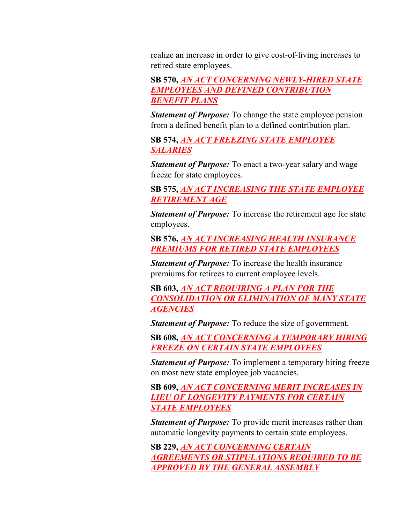realize an increase in order to give cost-of-living increases to retired state employees.

**SB 570,** *[AN ACT CONCERNING NEWLY-HIRED STATE](http://www.cga.ct.gov/2011/TOB/S/2011SB-00570-R00-SB.htm)  [EMPLOYEES AND DEFINED CONTRIBUTION](http://www.cga.ct.gov/2011/TOB/S/2011SB-00570-R00-SB.htm)  [BENEFIT PLANS](http://www.cga.ct.gov/2011/TOB/S/2011SB-00570-R00-SB.htm)*

*Statement of Purpose:* To change the state employee pension from a defined benefit plan to a defined contribution plan.

**SB 574,** *[AN ACT FREEZING STATE EMPLOYEE](http://www.cga.ct.gov/2011/TOB/S/2011SB-00574-R00-SB.htm)  [SALARIES](http://www.cga.ct.gov/2011/TOB/S/2011SB-00574-R00-SB.htm)*

*Statement of Purpose:* To enact a two-year salary and wage freeze for state employees.

**SB 575,** *[AN ACT INCREASING THE STATE EMPLOYEE](http://www.cga.ct.gov/2011/TOB/S/2011SB-00575-R00-SB.htm)  [RETIREMENT AGE](http://www.cga.ct.gov/2011/TOB/S/2011SB-00575-R00-SB.htm)*

*Statement of Purpose:* To increase the retirement age for state employees.

**SB 576,** *[AN ACT INCREASING HEALTH INSURANCE](http://www.cga.ct.gov/2011/TOB/S/2011SB-00576-R00-SB.htm)  [PREMIUMS FOR RETIRED STATE EMPLOYEES](http://www.cga.ct.gov/2011/TOB/S/2011SB-00576-R00-SB.htm)*

*Statement of Purpose:* To increase the health insurance premiums for retirees to current employee levels.

**SB 603,** *[AN ACT REQUIRING A PLAN FOR THE](http://www.cga.ct.gov/2011/TOB/S/2011SB-00603-R00-SB.htm)  [CONSOLIDATION OR ELIMINATION OF MANY STATE](http://www.cga.ct.gov/2011/TOB/S/2011SB-00603-R00-SB.htm)  [AGENCIES](http://www.cga.ct.gov/2011/TOB/S/2011SB-00603-R00-SB.htm)*

*Statement of Purpose:* To reduce the size of government.

**SB 608,** *[AN ACT CONCERNING A TEMPORARY HIRING](http://www.cga.ct.gov/2011/TOB/S/2011SB-00608-R00-SB.htm)  [FREEZE ON CERTAIN STATE EMPLOYEES](http://www.cga.ct.gov/2011/TOB/S/2011SB-00608-R00-SB.htm)*

*Statement of Purpose:* To implement a temporary hiring freeze on most new state employee job vacancies.

**SB 609,** *[AN ACT CONCERNING MERIT INCREASES IN](http://www.cga.ct.gov/2011/TOB/S/2011SB-00609-R00-SB.htm)  [LIEU OF LONGEVITY PAYMENTS FOR CERTAIN](http://www.cga.ct.gov/2011/TOB/S/2011SB-00609-R00-SB.htm)  [STATE EMPLOYEES](http://www.cga.ct.gov/2011/TOB/S/2011SB-00609-R00-SB.htm)*

*Statement of Purpose:* To provide merit increases rather than automatic longevity payments to certain state employees.

**SB 229,** *[AN ACT CONCERNING CERTAIN](http://www.cga.ct.gov/2011/TOB/S/2011SB-00229-R00-SB.htm)  [AGREEMENTS OR STIPULATIONS REQUIRED TO BE](http://www.cga.ct.gov/2011/TOB/S/2011SB-00229-R00-SB.htm)  [APPROVED BY THE GENERAL ASSEMBLY](http://www.cga.ct.gov/2011/TOB/S/2011SB-00229-R00-SB.htm)*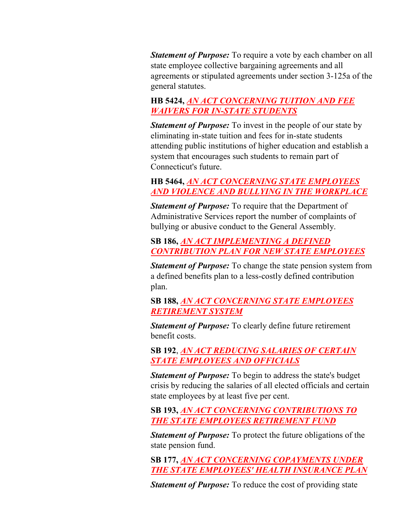*Statement of Purpose:* To require a vote by each chamber on all state employee collective bargaining agreements and all agreements or stipulated agreements under section 3-125a of the general statutes.

#### **HB 5424,** *[AN ACT CONCERNING TUITION AND FEE](http://www.cga.ct.gov/2011/TOB/H/2011HB-05424-R00-HB.htm)  [WAIVERS FOR IN-STATE STUDENTS](http://www.cga.ct.gov/2011/TOB/H/2011HB-05424-R00-HB.htm)*

*Statement of Purpose:* To invest in the people of our state by eliminating in-state tuition and fees for in-state students attending public institutions of higher education and establish a system that encourages such students to remain part of Connecticut's future.

### **HB 5464,** *[AN ACT CONCERNING STATE EMPLOYEES](http://www.cga.ct.gov/2011/TOB/H/2011HB-05464-R00-HB.htm)  [AND VIOLENCE AND BULLYING IN THE WORKPLACE](http://www.cga.ct.gov/2011/TOB/H/2011HB-05464-R00-HB.htm)*

*Statement of Purpose:* To require that the Department of Administrative Services report the number of complaints of bullying or abusive conduct to the General Assembly.

#### **SB 186,** *[AN ACT IMPLEMENTING A DEFINED](http://www.cga.ct.gov/2011/TOB/S/2011SB-00186-R00-SB.htm)  [CONTRIBUTION PLAN FOR NEW STATE EMPLOYEES](http://www.cga.ct.gov/2011/TOB/S/2011SB-00186-R00-SB.htm)*

*Statement of Purpose:* To change the state pension system from a defined benefits plan to a less-costly defined contribution plan.

**SB 188,** *[AN ACT CONCERNING STATE EMPLOYEES](http://www.cga.ct.gov/2011/TOB/S/2011SB-00188-R00-SB.htm)  [RETIREMENT SYSTEM](http://www.cga.ct.gov/2011/TOB/S/2011SB-00188-R00-SB.htm)*

*Statement of Purpose:* To clearly define future retirement benefit costs.

**SB 192**, *[AN ACT REDUCING SALARIES OF CERTAIN](http://www.cga.ct.gov/2011/TOB/S/2011SB-00192-R00-SB.htm)  [STATE EMPLOYEES AND OFFICIALS](http://www.cga.ct.gov/2011/TOB/S/2011SB-00192-R00-SB.htm)*

*Statement of Purpose:* To begin to address the state's budget crisis by reducing the salaries of all elected officials and certain state employees by at least five per cent.

**SB 193,** *[AN ACT CONCERNING CONTRIBUTIONS TO](http://www.cga.ct.gov/2011/TOB/S/2011SB-00193-R00-SB.htm)  [THE STATE EMPLOYEES RETIREMENT FUND](http://www.cga.ct.gov/2011/TOB/S/2011SB-00193-R00-SB.htm)*

*Statement of Purpose:* To protect the future obligations of the state pension fund.

**SB 177,** *[AN ACT CONCERNING COPAYMENTS UNDER](http://www.cga.ct.gov/2011/TOB/S/2011SB-00177-R00-SB.htm)  [THE STATE EMPLOYEES' HEALTH INSURANCE PLAN](http://www.cga.ct.gov/2011/TOB/S/2011SB-00177-R00-SB.htm)*

*Statement of Purpose:* To reduce the cost of providing state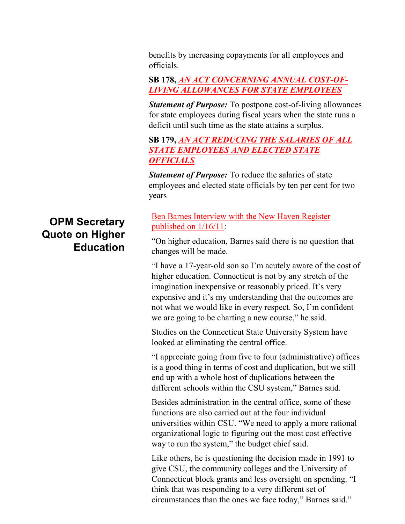benefits by increasing copayments for all employees and officials.

**SB 178,** *[AN ACT CONCERNING ANNUAL COST-OF-](http://www.cga.ct.gov/2011/TOB/S/2011SB-00178-R00-SB.htm)[LIVING ALLOWANCES FOR STATE EMPLOYEES](http://www.cga.ct.gov/2011/TOB/S/2011SB-00178-R00-SB.htm)*

*Statement of Purpose:* To postpone cost-of-living allowances for state employees during fiscal years when the state runs a deficit until such time as the state attains a surplus.

## **SB 179,** *[AN ACT REDUCING THE SALARIES OF ALL](http://www.cga.ct.gov/2011/TOB/S/2011SB-00179-R00-SB.htm)  [STATE EMPLOYEES AND ELECTED STATE](http://www.cga.ct.gov/2011/TOB/S/2011SB-00179-R00-SB.htm)  [OFFICIALS](http://www.cga.ct.gov/2011/TOB/S/2011SB-00179-R00-SB.htm)*

*Statement of Purpose:* To reduce the salaries of state employees and elected state officials by ten per cent for two years

## [Ben Barnes Interview with the New Haven Register](http://www.nhregister.com/articles/2011/01/16/news/doc4d3268c5ac91a813666516.txt?viewmode=fullstory)  [published on 1/16/11:](http://www.nhregister.com/articles/2011/01/16/news/doc4d3268c5ac91a813666516.txt?viewmode=fullstory)

"On higher education, Barnes said there is no question that changes will be made.

"I have a 17-year-old son so I'm acutely aware of the cost of higher education. Connecticut is not by any stretch of the imagination inexpensive or reasonably priced. It's very expensive and it's my understanding that the outcomes are not what we would like in every respect. So, I'm confident we are going to be charting a new course," he said.

Studies on the Connecticut State University System have looked at eliminating the central office.

"I appreciate going from five to four (administrative) offices is a good thing in terms of cost and duplication, but we still end up with a whole host of duplications between the different schools within the CSU system," Barnes said.

Besides administration in the central office, some of these functions are also carried out at the four individual universities within CSU. "We need to apply a more rational organizational logic to figuring out the most cost effective way to run the system," the budget chief said.

Like others, he is questioning the decision made in 1991 to give CSU, the community colleges and the University of Connecticut block grants and less oversight on spending. "I think that was responding to a very different set of circumstances than the ones we face today," Barnes said."

# **OPM Secretary Quote on Higher Education**